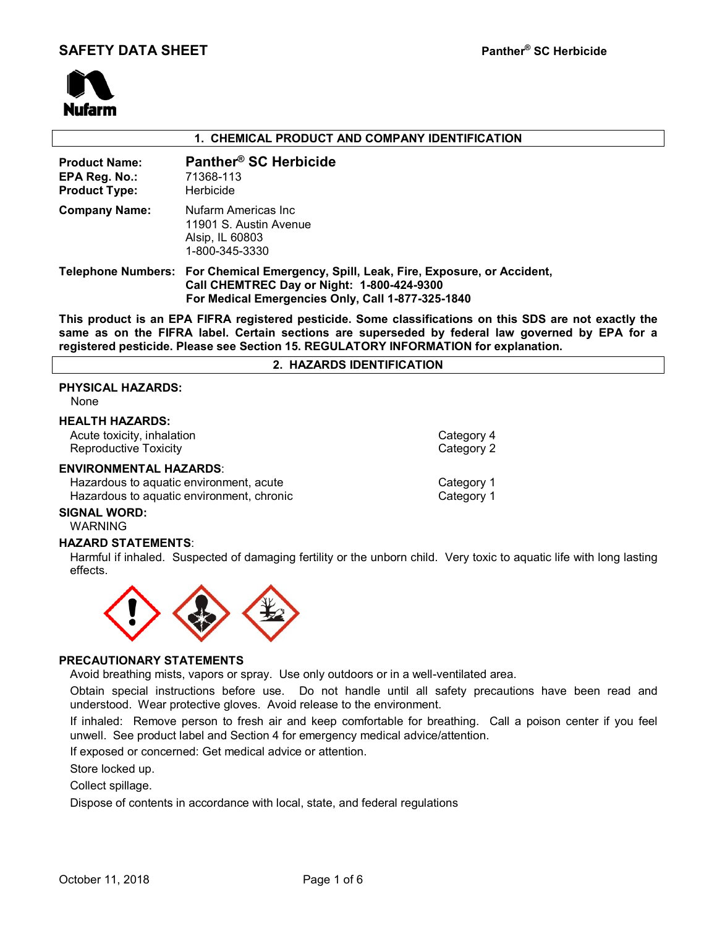

#### **1. CHEMICAL PRODUCT AND COMPANY IDENTIFICATION**

| <b>Product Name:</b><br>EPA Reg. No.:<br><b>Product Type:</b> | Panther <sup>®</sup> SC Herbicide<br>71368-113<br>Herbicide                                                                                                                             |
|---------------------------------------------------------------|-----------------------------------------------------------------------------------------------------------------------------------------------------------------------------------------|
| <b>Company Name:</b>                                          | Nufarm Americas Inc<br>11901 S. Austin Avenue<br>Alsip, IL 60803<br>1-800-345-3330                                                                                                      |
|                                                               | Telephone Numbers: For Chemical Emergency, Spill, Leak, Fire, Exposure, or Accident,<br>Call CHEMTREC Day or Night: 1-800-424-9300<br>For Medical Emergencies Only, Call 1-877-325-1840 |

**This product is an EPA FIFRA registered pesticide. Some classifications on this SDS are not exactly the same as on the FIFRA label. Certain sections are superseded by federal law governed by EPA for a registered pesticide. Please see Section 15. REGULATORY INFORMATION for explanation.**

|  |  | 2. HAZARDS IDENTIFICATION |
|--|--|---------------------------|
|--|--|---------------------------|

# **PHYSICAL HAZARDS:**

None

#### **HEALTH HAZARDS:**

Acute toxicity, inhalation **Category 4** and Category 4 Reproductive Toxicity Category 2 **ENVIRONMENTAL HAZARDS**:

# Hazardous to aquatic environment, acute<br>
Hazardous to aquatic environment, chronic<br>
Category 1 Hazardous to aquatic environment, chronic

#### **SIGNAL WORD:**

WARNING

#### **HAZARD STATEMENTS**:

Harmful if inhaled. Suspected of damaging fertility or the unborn child. Very toxic to aquatic life with long lasting effects.



#### **PRECAUTIONARY STATEMENTS**

Avoid breathing mists, vapors or spray. Use only outdoors or in a well-ventilated area.

Obtain special instructions before use. Do not handle until all safety precautions have been read and understood. Wear protective gloves. Avoid release to the environment.

If inhaled: Remove person to fresh air and keep comfortable for breathing. Call a poison center if you feel unwell. See product label and Section 4 for emergency medical advice/attention.

If exposed or concerned: Get medical advice or attention.

Store locked up.

Collect spillage.

Dispose of contents in accordance with local, state, and federal regulations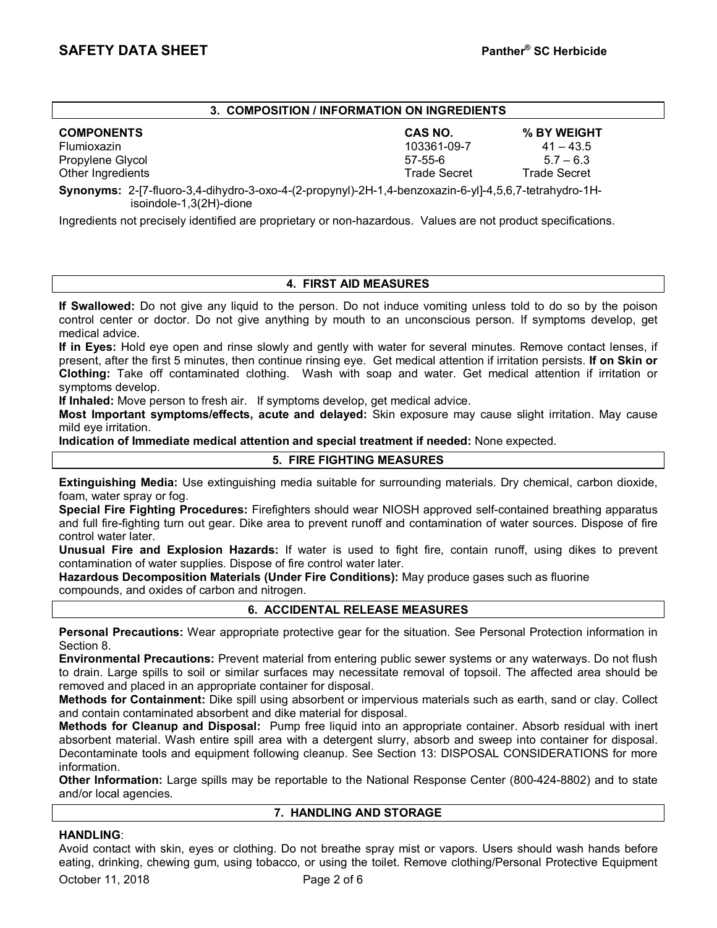## **3. COMPOSITION / INFORMATION ON INGREDIENTS**

**COMPONENTS CAS NO. % BY WEIGHT** Flumioxazin 103361-09-7 41 – 43.5 Propylene Glycol 57-55-6 5.7 – 6.3 Other Ingredients Trade Secret Trade Secret

**Synonyms:** 2-[7-fluoro-3,4-dihydro-3-oxo-4-(2-propynyl)-2H-1,4-benzoxazin-6-yl]-4,5,6,7-tetrahydro-1H isoindole-1,3(2H)-dione

Ingredients not precisely identified are proprietary or non-hazardous. Values are not product specifications.

### **4. FIRST AID MEASURES**

**If Swallowed:** Do not give any liquid to the person. Do not induce vomiting unless told to do so by the poison control center or doctor. Do not give anything by mouth to an unconscious person. If symptoms develop, get medical advice.

**If in Eyes:** Hold eye open and rinse slowly and gently with water for several minutes. Remove contact lenses, if present, after the first 5 minutes, then continue rinsing eye. Get medical attention if irritation persists. **If on Skin or Clothing:** Take off contaminated clothing. Wash with soap and water. Get medical attention if irritation or symptoms develop.

**If Inhaled:** Move person to fresh air. If symptoms develop, get medical advice.

**Most Important symptoms/effects, acute and delayed:** Skin exposure may cause slight irritation. May cause mild eye irritation.

**Indication of Immediate medical attention and special treatment if needed:** None expected.

## **5. FIRE FIGHTING MEASURES**

**Extinguishing Media:** Use extinguishing media suitable for surrounding materials. Dry chemical, carbon dioxide, foam, water spray or fog.

**Special Fire Fighting Procedures:** Firefighters should wear NIOSH approved self-contained breathing apparatus and full fire-fighting turn out gear. Dike area to prevent runoff and contamination of water sources. Dispose of fire control water later.

**Unusual Fire and Explosion Hazards:** If water is used to fight fire, contain runoff, using dikes to prevent contamination of water supplies. Dispose of fire control water later.

**Hazardous Decomposition Materials (Under Fire Conditions):** May produce gases such as fluorine compounds, and oxides of carbon and nitrogen.

# **6. ACCIDENTAL RELEASE MEASURES**

**Personal Precautions:** Wear appropriate protective gear for the situation. See Personal Protection information in Section 8.

**Environmental Precautions:** Prevent material from entering public sewer systems or any waterways. Do not flush to drain. Large spills to soil or similar surfaces may necessitate removal of topsoil. The affected area should be removed and placed in an appropriate container for disposal.

**Methods for Containment:** Dike spill using absorbent or impervious materials such as earth, sand or clay. Collect and contain contaminated absorbent and dike material for disposal.

**Methods for Cleanup and Disposal:** Pump free liquid into an appropriate container. Absorb residual with inert absorbent material. Wash entire spill area with a detergent slurry, absorb and sweep into container for disposal. Decontaminate tools and equipment following cleanup. See Section 13: DISPOSAL CONSIDERATIONS for more information.

**Other Information:** Large spills may be reportable to the National Response Center (800-424-8802) and to state and/or local agencies.

#### **7. HANDLING AND STORAGE**

# **HANDLING**:

October 11, 2018 **Page 2 of 6** Avoid contact with skin, eyes or clothing. Do not breathe spray mist or vapors. Users should wash hands before eating, drinking, chewing gum, using tobacco, or using the toilet. Remove clothing/Personal Protective Equipment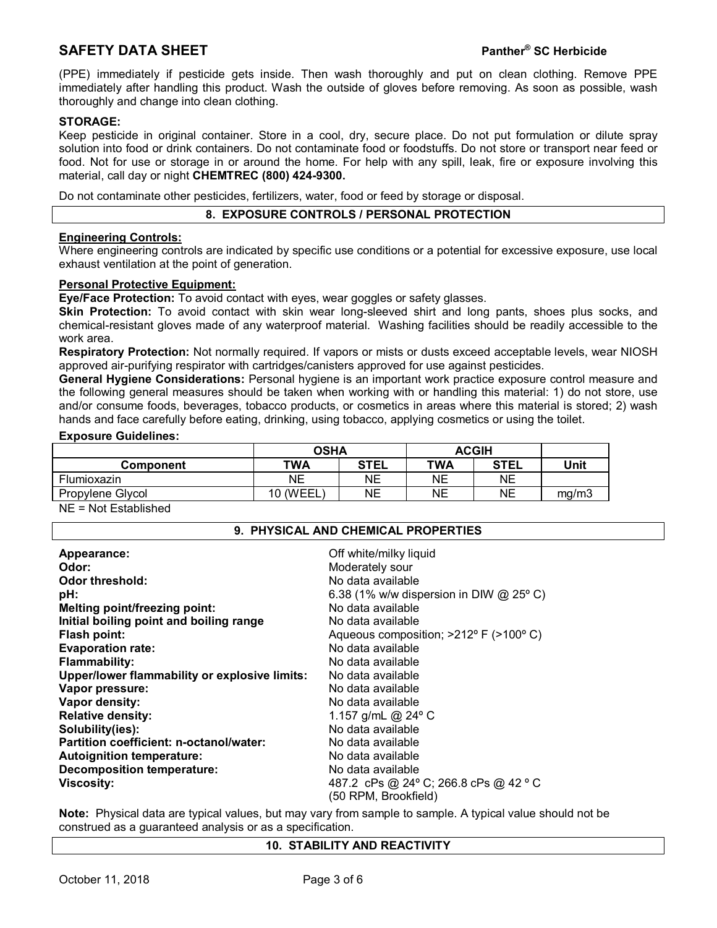# **SAFETY DATA SHEET Panther® SC Herbicide**

(PPE) immediately if pesticide gets inside. Then wash thoroughly and put on clean clothing. Remove PPE immediately after handling this product. Wash the outside of gloves before removing. As soon as possible, wash thoroughly and change into clean clothing.

## **STORAGE:**

Keep pesticide in original container. Store in a cool, dry, secure place. Do not put formulation or dilute spray solution into food or drink containers. Do not contaminate food or foodstuffs. Do not store or transport near feed or food. Not for use or storage in or around the home. For help with any spill, leak, fire or exposure involving this material, call day or night **CHEMTREC (800) 424-9300.**

Do not contaminate other pesticides, fertilizers, water, food or feed by storage or disposal.

### **8. EXPOSURE CONTROLS / PERSONAL PROTECTION**

### **Engineering Controls:**

Where engineering controls are indicated by specific use conditions or a potential for excessive exposure, use local exhaust ventilation at the point of generation.

#### **Personal Protective Equipment:**

**Eye/Face Protection:** To avoid contact with eyes, wear goggles or safety glasses.

**Skin Protection:** To avoid contact with skin wear long-sleeved shirt and long pants, shoes plus socks, and chemical-resistant gloves made of any waterproof material. Washing facilities should be readily accessible to the work area.

**Respiratory Protection:** Not normally required. If vapors or mists or dusts exceed acceptable levels, wear NIOSH approved air-purifying respirator with cartridges/canisters approved for use against pesticides.

**General Hygiene Considerations:** Personal hygiene is an important work practice exposure control measure and the following general measures should be taken when working with or handling this material: 1) do not store, use and/or consume foods, beverages, tobacco products, or cosmetics in areas where this material is stored; 2) wash hands and face carefully before eating, drinking, using tobacco, applying cosmetics or using the toilet.

#### **Exposure Guidelines:**

|                    | <b>OSHA</b> |             | <b>ACGIH</b> |             |       |
|--------------------|-------------|-------------|--------------|-------------|-------|
| Component          | TWA         | <b>STEL</b> | TWA          | <b>STEL</b> | Unit  |
| <b>Flumioxazin</b> | NΕ          | NΕ          | NΕ           | <b>NE</b>   |       |
| Propylene Glycol   | ` (WEEL     | NΕ          | NΕ           | NΕ          | ma/m3 |
|                    |             |             |              |             |       |

NE = Not Established

#### **9. PHYSICAL AND CHEMICAL PROPERTIES**

| Appearance:                                   | Off white/milky liquid                    |
|-----------------------------------------------|-------------------------------------------|
| Odor:                                         | Moderately sour                           |
| <b>Odor threshold:</b>                        | No data available                         |
| pH:                                           | 6.38 (1% w/w dispersion in DIW $@$ 25° C) |
| Melting point/freezing point:                 | No data available                         |
| Initial boiling point and boiling range       | No data available                         |
| Flash point:                                  | Aqueous composition; >212° F (>100° C)    |
| <b>Evaporation rate:</b>                      | No data available                         |
| <b>Flammability:</b>                          | No data available                         |
| Upper/lower flammability or explosive limits: | No data available                         |
| Vapor pressure:                               | No data available                         |
| Vapor density:                                | No data available                         |
| <b>Relative density:</b>                      | 1.157 g/mL @ $24^{\circ}$ C               |
| Solubility(ies):                              | No data available                         |
| Partition coefficient: n-octanol/water:       | No data available                         |
| <b>Autoignition temperature:</b>              | No data available                         |
| <b>Decomposition temperature:</b>             | No data available                         |
| <b>Viscosity:</b>                             | 487.2 cPs @ 24° C; 266.8 cPs @ 42 ° C     |
|                                               | (50 RPM, Brookfield)                      |

**Note:** Physical data are typical values, but may vary from sample to sample. A typical value should not be construed as a guaranteed analysis or as a specification.

#### **10. STABILITY AND REACTIVITY**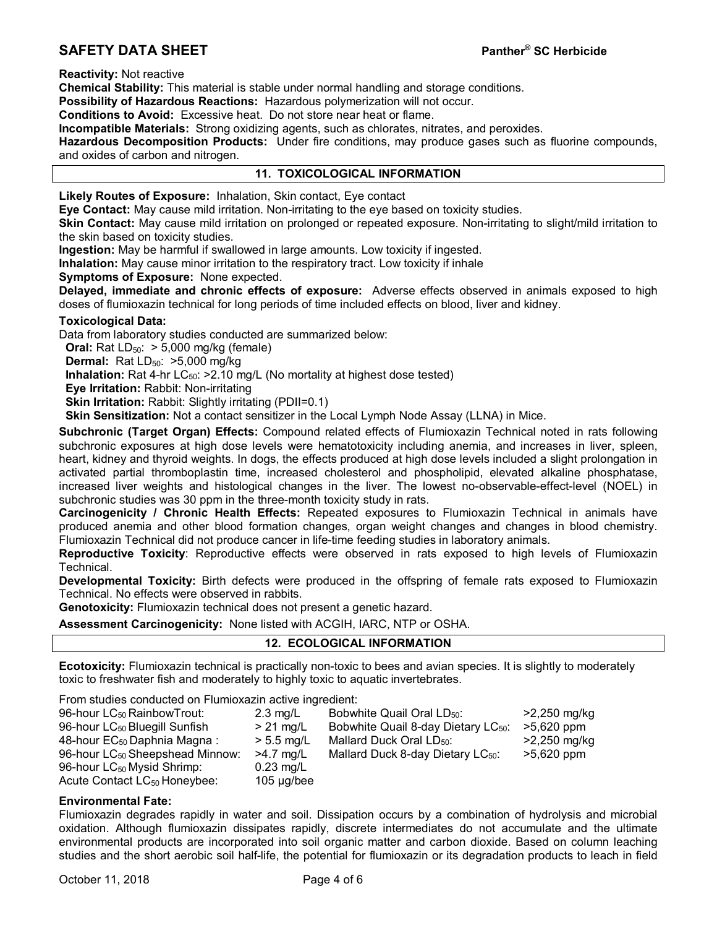# **SAFETY DATA SHEET Panther® SC Herbicide**

**Reactivity:** Not reactive

**Chemical Stability:** This material is stable under normal handling and storage conditions.

**Possibility of Hazardous Reactions:** Hazardous polymerization will not occur.

**Conditions to Avoid:** Excessive heat. Do not store near heat or flame.

**Incompatible Materials:** Strong oxidizing agents, such as chlorates, nitrates, and peroxides.

**Hazardous Decomposition Products:** Under fire conditions, may produce gases such as fluorine compounds, and oxides of carbon and nitrogen.

#### **11. TOXICOLOGICAL INFORMATION**

**Likely Routes of Exposure:** Inhalation, Skin contact, Eye contact

**Eye Contact:** May cause mild irritation. Non-irritating to the eye based on toxicity studies.

**Skin Contact:** May cause mild irritation on prolonged or repeated exposure. Non-irritating to slight/mild irritation to the skin based on toxicity studies.

**Ingestion:** May be harmful if swallowed in large amounts. Low toxicity if ingested.

**Inhalation:** May cause minor irritation to the respiratory tract. Low toxicity if inhale

**Symptoms of Exposure:** None expected.

**Delayed, immediate and chronic effects of exposure:** Adverse effects observed in animals exposed to high doses of flumioxazin technical for long periods of time included effects on blood, liver and kidney.

#### **Toxicological Data:**

Data from laboratory studies conducted are summarized below:

**Oral:** Rat  $LD_{50}$ :  $> 5,000$  mg/kg (female)

**Dermal:** Rat LD<sub>50</sub>: >5,000 mg/kg

**Inhalation:** Rat 4-hr LC<sub>50</sub>: >2.10 mg/L (No mortality at highest dose tested)

 **Eye Irritation:** Rabbit: Non-irritating

**Skin Irritation: Rabbit: Slightly irritating (PDII=0.1)** 

 **Skin Sensitization:** Not a contact sensitizer in the Local Lymph Node Assay (LLNA) in Mice.

**Subchronic (Target Organ) Effects:** Compound related effects of Flumioxazin Technical noted in rats following subchronic exposures at high dose levels were hematotoxicity including anemia, and increases in liver, spleen, heart, kidney and thyroid weights. In dogs, the effects produced at high dose levels included a slight prolongation in activated partial thromboplastin time, increased cholesterol and phospholipid, elevated alkaline phosphatase, increased liver weights and histological changes in the liver. The lowest no-observable-effect-level (NOEL) in subchronic studies was 30 ppm in the three-month toxicity study in rats.

**Carcinogenicity / Chronic Health Effects:** Repeated exposures to Flumioxazin Technical in animals have produced anemia and other blood formation changes, organ weight changes and changes in blood chemistry. Flumioxazin Technical did not produce cancer in life-time feeding studies in laboratory animals.

**Reproductive Toxicity**: Reproductive effects were observed in rats exposed to high levels of Flumioxazin Technical.

**Developmental Toxicity:** Birth defects were produced in the offspring of female rats exposed to Flumioxazin Technical. No effects were observed in rabbits.

**Genotoxicity:** Flumioxazin technical does not present a genetic hazard.

**Assessment Carcinogenicity:** None listed with ACGIH, IARC, NTP or OSHA.

#### **12. ECOLOGICAL INFORMATION**

**Ecotoxicity:** Flumioxazin technical is practically non-toxic to bees and avian species. It is slightly to moderately toxic to freshwater fish and moderately to highly toxic to aquatic invertebrates.

From studies conducted on Flumioxazin active ingredient:

| 96-hour LC <sub>50</sub> RainbowTrout:      | $2.3 \text{ mg/L}$ | Bobwhite Quail Oral LD <sub>50</sub> :          | >2,250 mg/kg   |
|---------------------------------------------|--------------------|-------------------------------------------------|----------------|
| 96-hour LC <sub>50</sub> Bluegill Sunfish   | $> 21$ mg/L        | Bobwhite Quail 8-day Dietary LC <sub>50</sub> : | >5,620 ppm     |
| 48-hour EC <sub>50</sub> Daphnia Magna:     | $> 5.5$ mg/L       | Mallard Duck Oral LD <sub>50</sub> :            | $>2,250$ mg/kg |
| 96-hour LC <sub>50</sub> Sheepshead Minnow: | $>4.7$ mg/L        | Mallard Duck 8-day Dietary LC <sub>50</sub> :   | $>5,620$ ppm   |
| 96-hour LC <sub>50</sub> Mysid Shrimp:      | $0.23$ mg/L        |                                                 |                |
| Acute Contact LC <sub>50</sub> Honeybee:    | $105 \mu g$ /bee   |                                                 |                |

#### **Environmental Fate:**

Flumioxazin degrades rapidly in water and soil. Dissipation occurs by a combination of hydrolysis and microbial oxidation. Although flumioxazin dissipates rapidly, discrete intermediates do not accumulate and the ultimate environmental products are incorporated into soil organic matter and carbon dioxide. Based on column leaching studies and the short aerobic soil half-life, the potential for flumioxazin or its degradation products to leach in field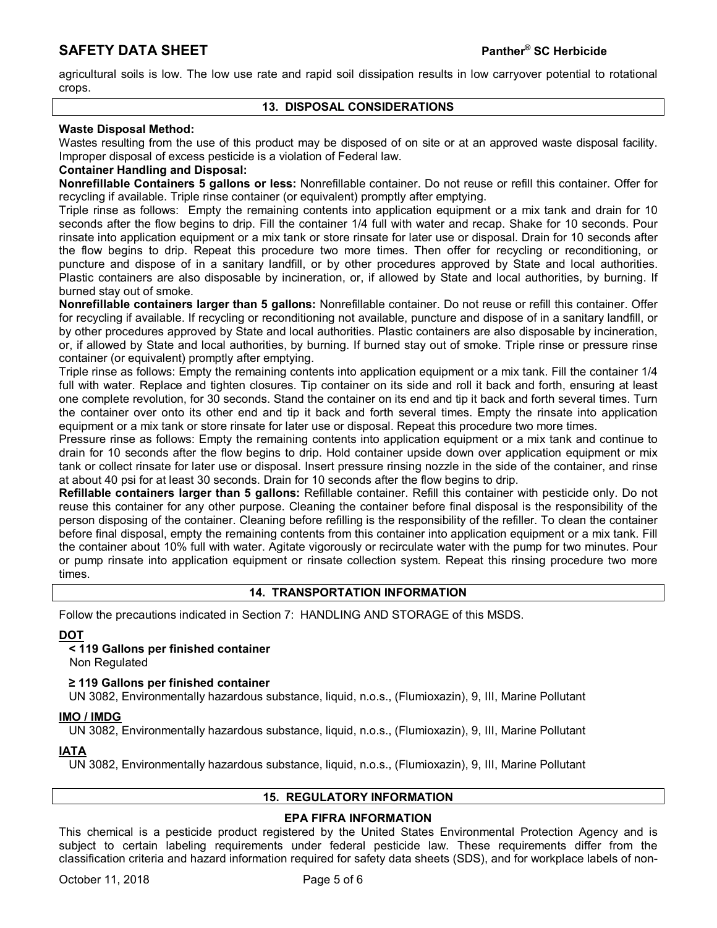agricultural soils is low. The low use rate and rapid soil dissipation results in low carryover potential to rotational crops.

#### **13. DISPOSAL CONSIDERATIONS**

# **Waste Disposal Method:**

Wastes resulting from the use of this product may be disposed of on site or at an approved waste disposal facility. Improper disposal of excess pesticide is a violation of Federal law.

#### **Container Handling and Disposal:**

**Nonrefillable Containers 5 gallons or less:** Nonrefillable container. Do not reuse or refill this container. Offer for recycling if available. Triple rinse container (or equivalent) promptly after emptying.

Triple rinse as follows: Empty the remaining contents into application equipment or a mix tank and drain for 10 seconds after the flow begins to drip. Fill the container 1/4 full with water and recap. Shake for 10 seconds. Pour rinsate into application equipment or a mix tank or store rinsate for later use or disposal. Drain for 10 seconds after the flow begins to drip. Repeat this procedure two more times. Then offer for recycling or reconditioning, or puncture and dispose of in a sanitary landfill, or by other procedures approved by State and local authorities. Plastic containers are also disposable by incineration, or, if allowed by State and local authorities, by burning. If burned stay out of smoke.

**Nonrefillable containers larger than 5 gallons:** Nonrefillable container. Do not reuse or refill this container. Offer for recycling if available. If recycling or reconditioning not available, puncture and dispose of in a sanitary landfill, or by other procedures approved by State and local authorities. Plastic containers are also disposable by incineration, or, if allowed by State and local authorities, by burning. If burned stay out of smoke. Triple rinse or pressure rinse container (or equivalent) promptly after emptying.

Triple rinse as follows: Empty the remaining contents into application equipment or a mix tank. Fill the container 1/4 full with water. Replace and tighten closures. Tip container on its side and roll it back and forth, ensuring at least one complete revolution, for 30 seconds. Stand the container on its end and tip it back and forth several times. Turn the container over onto its other end and tip it back and forth several times. Empty the rinsate into application equipment or a mix tank or store rinsate for later use or disposal. Repeat this procedure two more times.

Pressure rinse as follows: Empty the remaining contents into application equipment or a mix tank and continue to drain for 10 seconds after the flow begins to drip. Hold container upside down over application equipment or mix tank or collect rinsate for later use or disposal. Insert pressure rinsing nozzle in the side of the container, and rinse at about 40 psi for at least 30 seconds. Drain for 10 seconds after the flow begins to drip.

**Refillable containers larger than 5 gallons:** Refillable container. Refill this container with pesticide only. Do not reuse this container for any other purpose. Cleaning the container before final disposal is the responsibility of the person disposing of the container. Cleaning before refilling is the responsibility of the refiller. To clean the container before final disposal, empty the remaining contents from this container into application equipment or a mix tank. Fill the container about 10% full with water. Agitate vigorously or recirculate water with the pump for two minutes. Pour or pump rinsate into application equipment or rinsate collection system. Repeat this rinsing procedure two more times.

# **14. TRANSPORTATION INFORMATION**

Follow the precautions indicated in Section 7: HANDLING AND STORAGE of this MSDS.

# **DOT**

# **< 119 Gallons per finished container**

Non Regulated

 **≥ 119 Gallons per finished container**

UN 3082, Environmentally hazardous substance, liquid, n.o.s., (Flumioxazin), 9, III, Marine Pollutant

#### **IMO / IMDG**

UN 3082, Environmentally hazardous substance, liquid, n.o.s., (Flumioxazin), 9, III, Marine Pollutant

# **IATA**

UN 3082, Environmentally hazardous substance, liquid, n.o.s., (Flumioxazin), 9, III, Marine Pollutant

# **15. REGULATORY INFORMATION**

# **EPA FIFRA INFORMATION**

This chemical is a pesticide product registered by the United States Environmental Protection Agency and is subject to certain labeling requirements under federal pesticide law. These requirements differ from the classification criteria and hazard information required for safety data sheets (SDS), and for workplace labels of non-